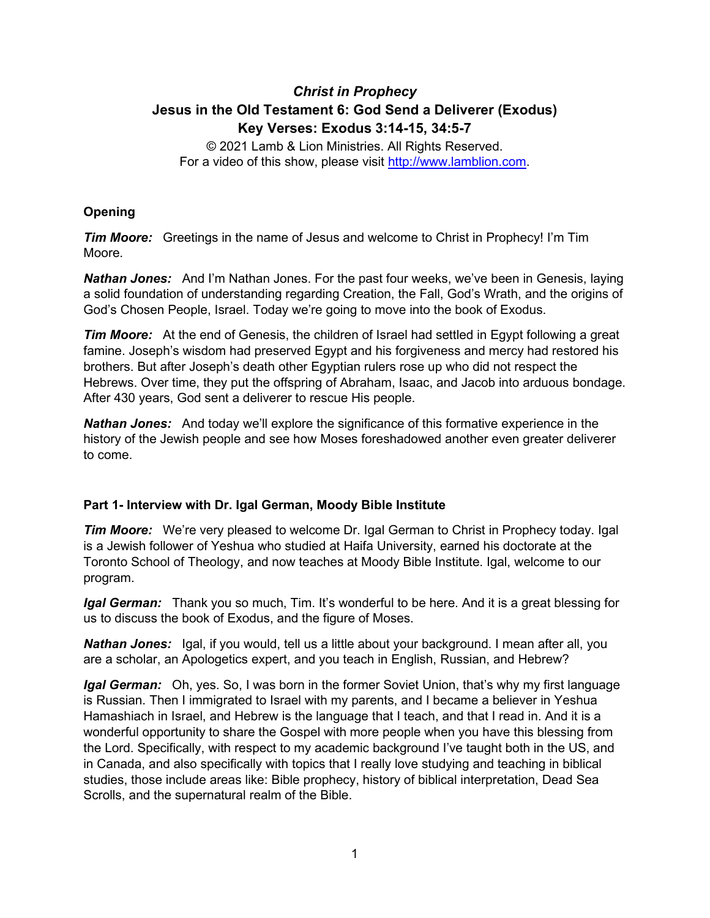# *Christ in Prophecy* **Jesus in the Old Testament 6: God Send a Deliverer (Exodus) Key Verses: Exodus 3:14-15, 34:5-7**

© 2021 Lamb & Lion Ministries. All Rights Reserved. For a video of this show, please visit [http://www.lamblion.com.](http://www.lamblion.com/)

## **Opening**

*Tim Moore:* Greetings in the name of Jesus and welcome to Christ in Prophecy! I'm Tim Moore.

*Nathan Jones:* And I'm Nathan Jones. For the past four weeks, we've been in Genesis, laying a solid foundation of understanding regarding Creation, the Fall, God's Wrath, and the origins of God's Chosen People, Israel. Today we're going to move into the book of Exodus.

*Tim Moore:* At the end of Genesis, the children of Israel had settled in Egypt following a great famine. Joseph's wisdom had preserved Egypt and his forgiveness and mercy had restored his brothers. But after Joseph's death other Egyptian rulers rose up who did not respect the Hebrews. Over time, they put the offspring of Abraham, Isaac, and Jacob into arduous bondage. After 430 years, God sent a deliverer to rescue His people.

*Nathan Jones:* And today we'll explore the significance of this formative experience in the history of the Jewish people and see how Moses foreshadowed another even greater deliverer to come.

#### **Part 1- Interview with Dr. Igal German, Moody Bible Institute**

*Tim Moore:* We're very pleased to welcome Dr. Igal German to Christ in Prophecy today. Igal is a Jewish follower of Yeshua who studied at Haifa University, earned his doctorate at the Toronto School of Theology, and now teaches at Moody Bible Institute. Igal, welcome to our program.

*Igal German:* Thank you so much, Tim. It's wonderful to be here. And it is a great blessing for us to discuss the book of Exodus, and the figure of Moses.

*Nathan Jones:* Igal, if you would, tell us a little about your background. I mean after all, you are a scholar, an Apologetics expert, and you teach in English, Russian, and Hebrew?

*Igal German:* Oh, yes. So, I was born in the former Soviet Union, that's why my first language is Russian. Then I immigrated to Israel with my parents, and I became a believer in Yeshua Hamashiach in Israel, and Hebrew is the language that I teach, and that I read in. And it is a wonderful opportunity to share the Gospel with more people when you have this blessing from the Lord. Specifically, with respect to my academic background I've taught both in the US, and in Canada, and also specifically with topics that I really love studying and teaching in biblical studies, those include areas like: Bible prophecy, history of biblical interpretation, Dead Sea Scrolls, and the supernatural realm of the Bible.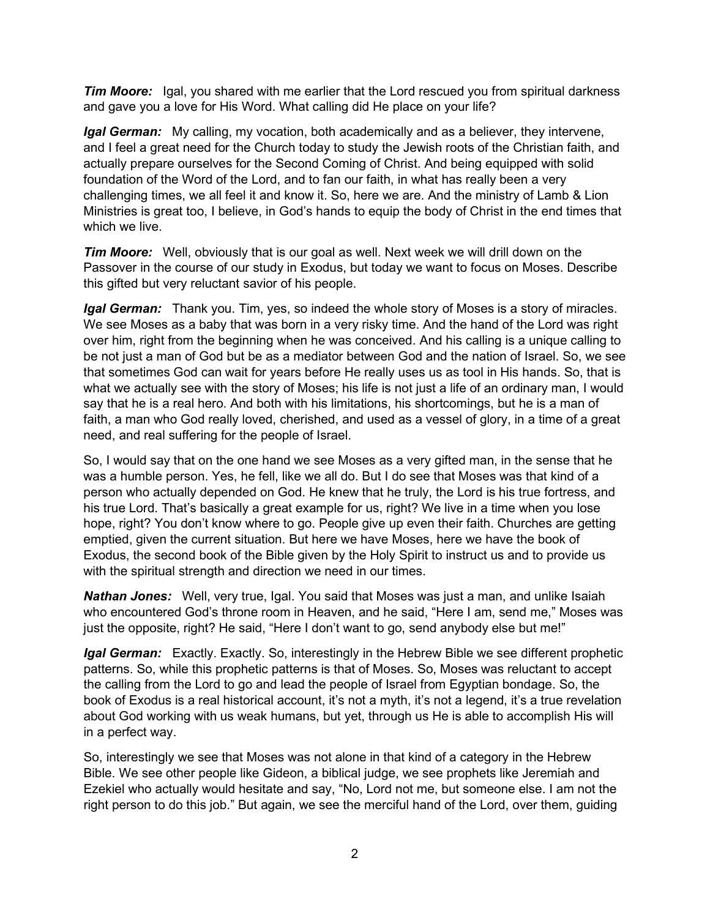**Tim Moore:** Igal, you shared with me earlier that the Lord rescued you from spiritual darkness and gave you a love for His Word. What calling did He place on your life?

*Igal German:* My calling, my vocation, both academically and as a believer, they intervene, and I feel a great need for the Church today to study the Jewish roots of the Christian faith, and actually prepare ourselves for the Second Coming of Christ. And being equipped with solid foundation of the Word of the Lord, and to fan our faith, in what has really been a very challenging times, we all feel it and know it. So, here we are. And the ministry of Lamb & Lion Ministries is great too, I believe, in God's hands to equip the body of Christ in the end times that which we live.

*Tim Moore:* Well, obviously that is our goal as well. Next week we will drill down on the Passover in the course of our study in Exodus, but today we want to focus on Moses. Describe this gifted but very reluctant savior of his people.

*Igal German:* Thank you. Tim, yes, so indeed the whole story of Moses is a story of miracles. We see Moses as a baby that was born in a very risky time. And the hand of the Lord was right over him, right from the beginning when he was conceived. And his calling is a unique calling to be not just a man of God but be as a mediator between God and the nation of Israel. So, we see that sometimes God can wait for years before He really uses us as tool in His hands. So, that is what we actually see with the story of Moses; his life is not just a life of an ordinary man, I would say that he is a real hero. And both with his limitations, his shortcomings, but he is a man of faith, a man who God really loved, cherished, and used as a vessel of glory, in a time of a great need, and real suffering for the people of Israel.

So, I would say that on the one hand we see Moses as a very gifted man, in the sense that he was a humble person. Yes, he fell, like we all do. But I do see that Moses was that kind of a person who actually depended on God. He knew that he truly, the Lord is his true fortress, and his true Lord. That's basically a great example for us, right? We live in a time when you lose hope, right? You don't know where to go. People give up even their faith. Churches are getting emptied, given the current situation. But here we have Moses, here we have the book of Exodus, the second book of the Bible given by the Holy Spirit to instruct us and to provide us with the spiritual strength and direction we need in our times.

*Nathan Jones:* Well, very true, Igal. You said that Moses was just a man, and unlike Isaiah who encountered God's throne room in Heaven, and he said, "Here I am, send me," Moses was just the opposite, right? He said, "Here I don't want to go, send anybody else but me!"

*Igal German:* Exactly. Exactly. So, interestingly in the Hebrew Bible we see different prophetic patterns. So, while this prophetic patterns is that of Moses. So, Moses was reluctant to accept the calling from the Lord to go and lead the people of Israel from Egyptian bondage. So, the book of Exodus is a real historical account, it's not a myth, it's not a legend, it's a true revelation about God working with us weak humans, but yet, through us He is able to accomplish His will in a perfect way.

So, interestingly we see that Moses was not alone in that kind of a category in the Hebrew Bible. We see other people like Gideon, a biblical judge, we see prophets like Jeremiah and Ezekiel who actually would hesitate and say, "No, Lord not me, but someone else. I am not the right person to do this job." But again, we see the merciful hand of the Lord, over them, guiding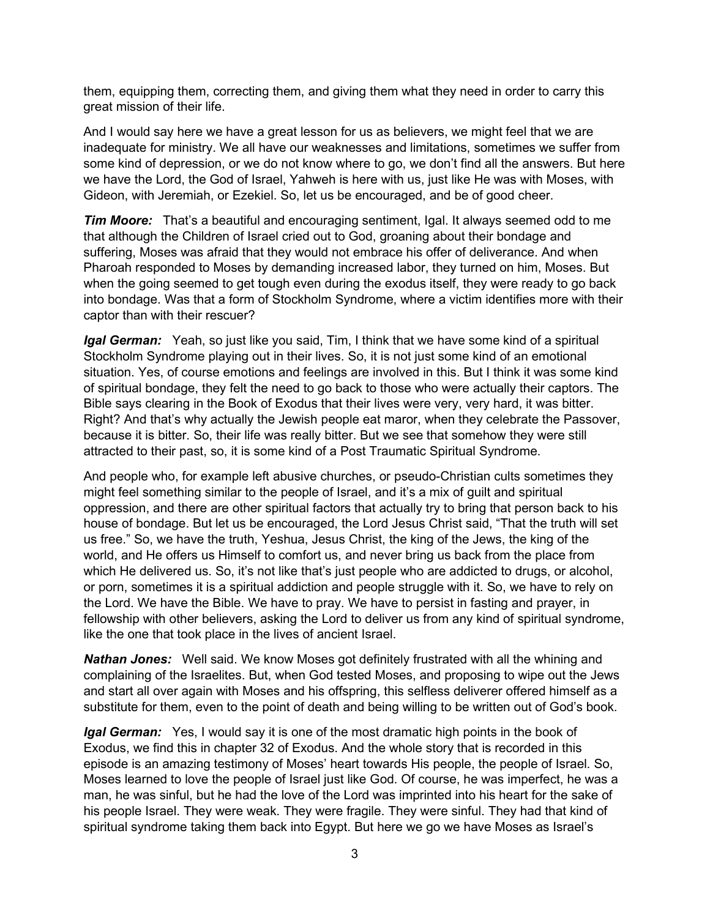them, equipping them, correcting them, and giving them what they need in order to carry this great mission of their life.

And I would say here we have a great lesson for us as believers, we might feel that we are inadequate for ministry. We all have our weaknesses and limitations, sometimes we suffer from some kind of depression, or we do not know where to go, we don't find all the answers. But here we have the Lord, the God of Israel, Yahweh is here with us, just like He was with Moses, with Gideon, with Jeremiah, or Ezekiel. So, let us be encouraged, and be of good cheer.

*Tim Moore:* That's a beautiful and encouraging sentiment, Igal. It always seemed odd to me that although the Children of Israel cried out to God, groaning about their bondage and suffering, Moses was afraid that they would not embrace his offer of deliverance. And when Pharoah responded to Moses by demanding increased labor, they turned on him, Moses. But when the going seemed to get tough even during the exodus itself, they were ready to go back into bondage. Was that a form of Stockholm Syndrome, where a victim identifies more with their captor than with their rescuer?

*Igal German:* Yeah, so just like you said, Tim, I think that we have some kind of a spiritual Stockholm Syndrome playing out in their lives. So, it is not just some kind of an emotional situation. Yes, of course emotions and feelings are involved in this. But I think it was some kind of spiritual bondage, they felt the need to go back to those who were actually their captors. The Bible says clearing in the Book of Exodus that their lives were very, very hard, it was bitter. Right? And that's why actually the Jewish people eat maror, when they celebrate the Passover, because it is bitter. So, their life was really bitter. But we see that somehow they were still attracted to their past, so, it is some kind of a Post Traumatic Spiritual Syndrome.

And people who, for example left abusive churches, or pseudo-Christian cults sometimes they might feel something similar to the people of Israel, and it's a mix of guilt and spiritual oppression, and there are other spiritual factors that actually try to bring that person back to his house of bondage. But let us be encouraged, the Lord Jesus Christ said, "That the truth will set us free." So, we have the truth, Yeshua, Jesus Christ, the king of the Jews, the king of the world, and He offers us Himself to comfort us, and never bring us back from the place from which He delivered us. So, it's not like that's just people who are addicted to drugs, or alcohol, or porn, sometimes it is a spiritual addiction and people struggle with it. So, we have to rely on the Lord. We have the Bible. We have to pray. We have to persist in fasting and prayer, in fellowship with other believers, asking the Lord to deliver us from any kind of spiritual syndrome, like the one that took place in the lives of ancient Israel.

*Nathan Jones:* Well said. We know Moses got definitely frustrated with all the whining and complaining of the Israelites. But, when God tested Moses, and proposing to wipe out the Jews and start all over again with Moses and his offspring, this selfless deliverer offered himself as a substitute for them, even to the point of death and being willing to be written out of God's book.

*Igal German:* Yes, I would say it is one of the most dramatic high points in the book of Exodus, we find this in chapter 32 of Exodus. And the whole story that is recorded in this episode is an amazing testimony of Moses' heart towards His people, the people of Israel. So, Moses learned to love the people of Israel just like God. Of course, he was imperfect, he was a man, he was sinful, but he had the love of the Lord was imprinted into his heart for the sake of his people Israel. They were weak. They were fragile. They were sinful. They had that kind of spiritual syndrome taking them back into Egypt. But here we go we have Moses as Israel's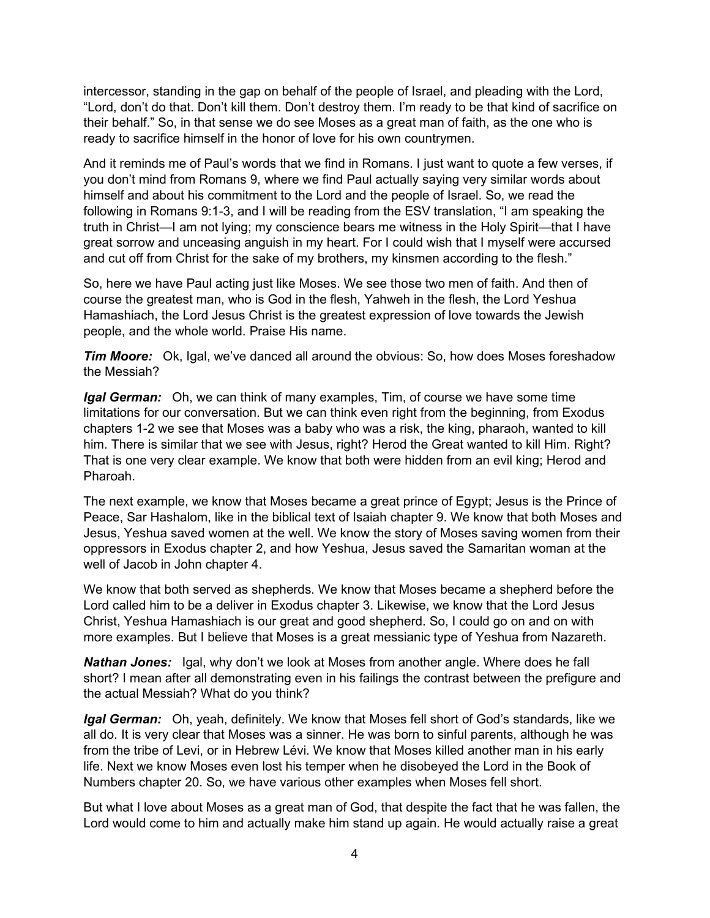intercessor, standing in the gap on behalf of the people of Israel, and pleading with the Lord, "Lord, don't do that. Don't kill them. Don't destroy them. I'm ready to be that kind of sacrifice on their behalf." So, in that sense we do see Moses as a great man of faith, as the one who is ready to sacrifice himself in the honor of love for his own countrymen.

And it reminds me of Paul's words that we find in Romans. I just want to quote a few verses, if you don't mind from Romans 9, where we find Paul actually saying very similar words about himself and about his commitment to the Lord and the people of Israel. So, we read the following in Romans 9:1-3, and I will be reading from the ESV translation, "I am speaking the truth in Christ—I am not lying; my conscience bears me witness in the Holy Spirit—that I have great sorrow and unceasing anguish in my heart. For I could wish that I myself were accursed and cut off from Christ for the sake of my brothers, my kinsmen according to the flesh."

So, here we have Paul acting just like Moses. We see those two men of faith. And then of course the greatest man, who is God in the flesh, Yahweh in the flesh, the Lord Yeshua Hamashiach, the Lord Jesus Christ is the greatest expression of love towards the Jewish people, and the whole world. Praise His name.

*Tim Moore:* Ok, Igal, we've danced all around the obvious: So, how does Moses foreshadow the Messiah?

*Igal German:* Oh, we can think of many examples, Tim, of course we have some time limitations for our conversation. But we can think even right from the beginning, from Exodus chapters 1-2 we see that Moses was a baby who was a risk, the king, pharaoh, wanted to kill him. There is similar that we see with Jesus, right? Herod the Great wanted to kill Him. Right? That is one very clear example. We know that both were hidden from an evil king; Herod and Pharoah.

The next example, we know that Moses became a great prince of Egypt; Jesus is the Prince of Peace, Sar Hashalom, like in the biblical text of Isaiah chapter 9. We know that both Moses and Jesus, Yeshua saved women at the well. We know the story of Moses saving women from their oppressors in Exodus chapter 2, and how Yeshua, Jesus saved the Samaritan woman at the well of Jacob in John chapter 4.

We know that both served as shepherds. We know that Moses became a shepherd before the Lord called him to be a deliver in Exodus chapter 3. Likewise, we know that the Lord Jesus Christ, Yeshua Hamashiach is our great and good shepherd. So, I could go on and on with more examples. But I believe that Moses is a great messianic type of Yeshua from Nazareth.

*Nathan Jones:* Igal, why don't we look at Moses from another angle. Where does he fall short? I mean after all demonstrating even in his failings the contrast between the prefigure and the actual Messiah? What do you think?

*Igal German:* Oh, yeah, definitely. We know that Moses fell short of God's standards, like we all do. It is very clear that Moses was a sinner. He was born to sinful parents, although he was from the tribe of Levi, or in Hebrew Lévi. We know that Moses killed another man in his early life. Next we know Moses even lost his temper when he disobeyed the Lord in the Book of Numbers chapter 20. So, we have various other examples when Moses fell short.

But what I love about Moses as a great man of God, that despite the fact that he was fallen, the Lord would come to him and actually make him stand up again. He would actually raise a great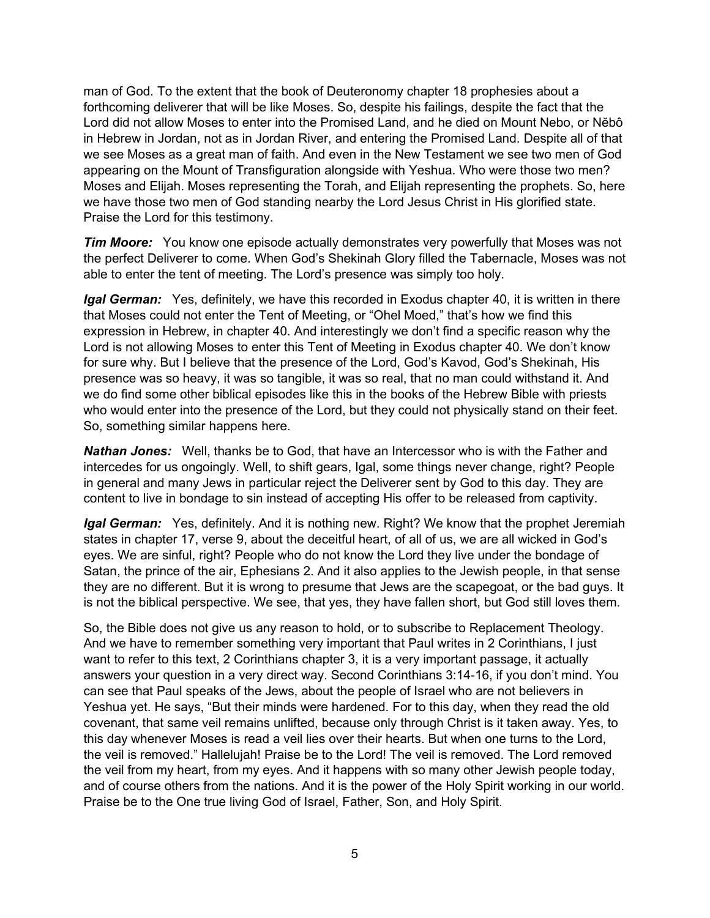man of God. To the extent that the book of Deuteronomy chapter 18 prophesies about a forthcoming deliverer that will be like Moses. So, despite his failings, despite the fact that the Lord did not allow Moses to enter into the Promised Land, and he died on Mount Nebo, or Nĕbô in Hebrew in Jordan, not as in Jordan River, and entering the Promised Land. Despite all of that we see Moses as a great man of faith. And even in the New Testament we see two men of God appearing on the Mount of Transfiguration alongside with Yeshua. Who were those two men? Moses and Elijah. Moses representing the Torah, and Elijah representing the prophets. So, here we have those two men of God standing nearby the Lord Jesus Christ in His glorified state. Praise the Lord for this testimony.

*Tim Moore:* You know one episode actually demonstrates very powerfully that Moses was not the perfect Deliverer to come. When God's Shekinah Glory filled the Tabernacle, Moses was not able to enter the tent of meeting. The Lord's presence was simply too holy.

*Igal German:* Yes, definitely, we have this recorded in Exodus chapter 40, it is written in there that Moses could not enter the Tent of Meeting, or "Ohel Moed," that's how we find this expression in Hebrew, in chapter 40. And interestingly we don't find a specific reason why the Lord is not allowing Moses to enter this Tent of Meeting in Exodus chapter 40. We don't know for sure why. But I believe that the presence of the Lord, God's Kavod, God's Shekinah, His presence was so heavy, it was so tangible, it was so real, that no man could withstand it. And we do find some other biblical episodes like this in the books of the Hebrew Bible with priests who would enter into the presence of the Lord, but they could not physically stand on their feet. So, something similar happens here.

*Nathan Jones:* Well, thanks be to God, that have an Intercessor who is with the Father and intercedes for us ongoingly. Well, to shift gears, Igal, some things never change, right? People in general and many Jews in particular reject the Deliverer sent by God to this day. They are content to live in bondage to sin instead of accepting His offer to be released from captivity.

*Igal German:* Yes, definitely. And it is nothing new. Right? We know that the prophet Jeremiah states in chapter 17, verse 9, about the deceitful heart, of all of us, we are all wicked in God's eyes. We are sinful, right? People who do not know the Lord they live under the bondage of Satan, the prince of the air, Ephesians 2. And it also applies to the Jewish people, in that sense they are no different. But it is wrong to presume that Jews are the scapegoat, or the bad guys. It is not the biblical perspective. We see, that yes, they have fallen short, but God still loves them.

So, the Bible does not give us any reason to hold, or to subscribe to Replacement Theology. And we have to remember something very important that Paul writes in 2 Corinthians, I just want to refer to this text, 2 Corinthians chapter 3, it is a very important passage, it actually answers your question in a very direct way. Second Corinthians 3:14-16, if you don't mind. You can see that Paul speaks of the Jews, about the people of Israel who are not believers in Yeshua yet. He says, "But their minds were hardened. For to this day, when they read the old covenant, that same veil remains unlifted, because only through Christ is it taken away. Yes, to this day whenever Moses is read a veil lies over their hearts. But when one turns to the Lord, the veil is removed." Hallelujah! Praise be to the Lord! The veil is removed. The Lord removed the veil from my heart, from my eyes. And it happens with so many other Jewish people today, and of course others from the nations. And it is the power of the Holy Spirit working in our world. Praise be to the One true living God of Israel, Father, Son, and Holy Spirit.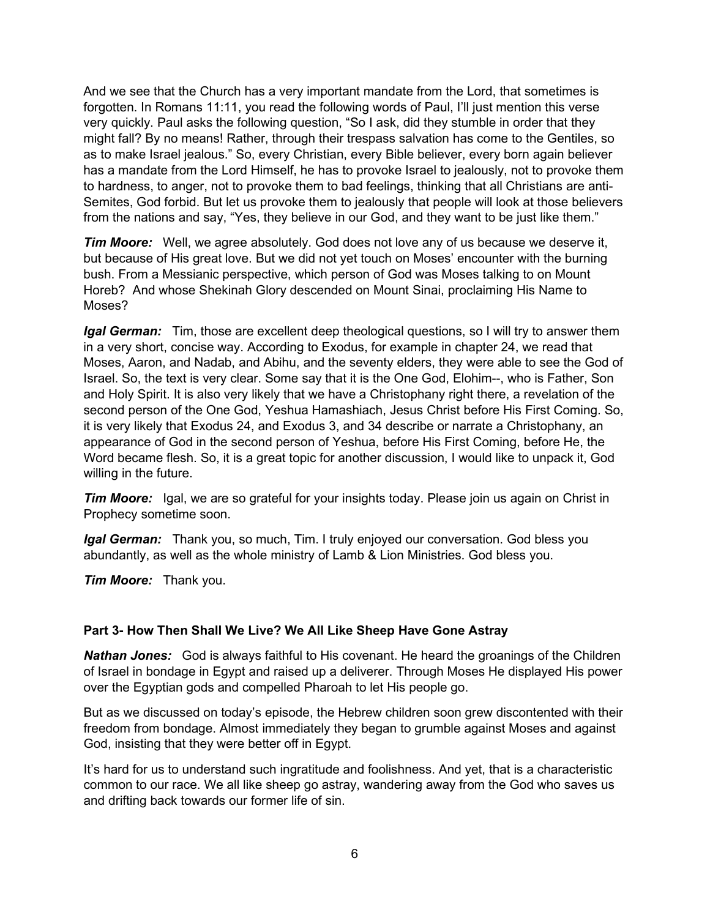And we see that the Church has a very important mandate from the Lord, that sometimes is forgotten. In Romans 11:11, you read the following words of Paul, I'll just mention this verse very quickly. Paul asks the following question, "So I ask, did they stumble in order that they might fall? By no means! Rather, through their trespass salvation has come to the Gentiles, so as to make Israel jealous." So, every Christian, every Bible believer, every born again believer has a mandate from the Lord Himself, he has to provoke Israel to jealously, not to provoke them to hardness, to anger, not to provoke them to bad feelings, thinking that all Christians are anti-Semites, God forbid. But let us provoke them to jealously that people will look at those believers from the nations and say, "Yes, they believe in our God, and they want to be just like them."

*Tim Moore:* Well, we agree absolutely. God does not love any of us because we deserve it, but because of His great love. But we did not yet touch on Moses' encounter with the burning bush. From a Messianic perspective, which person of God was Moses talking to on Mount Horeb? And whose Shekinah Glory descended on Mount Sinai, proclaiming His Name to Moses?

*Igal German:* Tim, those are excellent deep theological questions, so I will try to answer them in a very short, concise way. According to Exodus, for example in chapter 24, we read that Moses, Aaron, and Nadab, and Abihu, and the seventy elders, they were able to see the God of Israel. So, the text is very clear. Some say that it is the One God, Elohim--, who is Father, Son and Holy Spirit. It is also very likely that we have a Christophany right there, a revelation of the second person of the One God, Yeshua Hamashiach, Jesus Christ before His First Coming. So, it is very likely that Exodus 24, and Exodus 3, and 34 describe or narrate a Christophany, an appearance of God in the second person of Yeshua, before His First Coming, before He, the Word became flesh. So, it is a great topic for another discussion, I would like to unpack it, God willing in the future.

*Tim Moore:* Igal, we are so grateful for your insights today. Please join us again on Christ in Prophecy sometime soon.

*Igal German:* Thank you, so much, Tim. I truly enjoyed our conversation. God bless you abundantly, as well as the whole ministry of Lamb & Lion Ministries. God bless you.

*Tim Moore:* Thank you.

#### **Part 3- How Then Shall We Live? We All Like Sheep Have Gone Astray**

*Nathan Jones:* God is always faithful to His covenant. He heard the groanings of the Children of Israel in bondage in Egypt and raised up a deliverer. Through Moses He displayed His power over the Egyptian gods and compelled Pharoah to let His people go.

But as we discussed on today's episode, the Hebrew children soon grew discontented with their freedom from bondage. Almost immediately they began to grumble against Moses and against God, insisting that they were better off in Egypt.

It's hard for us to understand such ingratitude and foolishness. And yet, that is a characteristic common to our race. We all like sheep go astray, wandering away from the God who saves us and drifting back towards our former life of sin.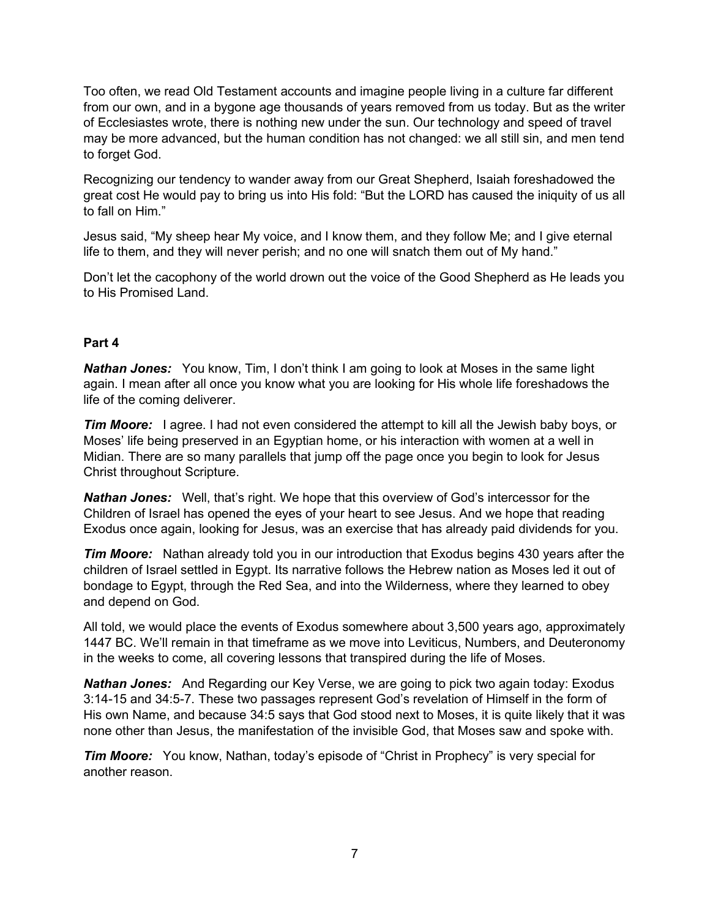Too often, we read Old Testament accounts and imagine people living in a culture far different from our own, and in a bygone age thousands of years removed from us today. But as the writer of Ecclesiastes wrote, there is nothing new under the sun. Our technology and speed of travel may be more advanced, but the human condition has not changed: we all still sin, and men tend to forget God.

Recognizing our tendency to wander away from our Great Shepherd, Isaiah foreshadowed the great cost He would pay to bring us into His fold: "But the LORD has caused the iniquity of us all to fall on Him."

Jesus said, "My sheep hear My voice, and I know them, and they follow Me; and I give eternal life to them, and they will never perish; and no one will snatch them out of My hand."

Don't let the cacophony of the world drown out the voice of the Good Shepherd as He leads you to His Promised Land.

### **Part 4**

*Nathan Jones:* You know, Tim, I don't think I am going to look at Moses in the same light again. I mean after all once you know what you are looking for His whole life foreshadows the life of the coming deliverer.

*Tim Moore:* I agree. I had not even considered the attempt to kill all the Jewish baby boys, or Moses' life being preserved in an Egyptian home, or his interaction with women at a well in Midian. There are so many parallels that jump off the page once you begin to look for Jesus Christ throughout Scripture.

*Nathan Jones:* Well, that's right. We hope that this overview of God's intercessor for the Children of Israel has opened the eyes of your heart to see Jesus. And we hope that reading Exodus once again, looking for Jesus, was an exercise that has already paid dividends for you.

**Tim Moore:** Nathan already told you in our introduction that Exodus begins 430 years after the children of Israel settled in Egypt. Its narrative follows the Hebrew nation as Moses led it out of bondage to Egypt, through the Red Sea, and into the Wilderness, where they learned to obey and depend on God.

All told, we would place the events of Exodus somewhere about 3,500 years ago, approximately 1447 BC. We'll remain in that timeframe as we move into Leviticus, Numbers, and Deuteronomy in the weeks to come, all covering lessons that transpired during the life of Moses.

*Nathan Jones:* And Regarding our Key Verse, we are going to pick two again today: Exodus 3:14-15 and 34:5-7. These two passages represent God's revelation of Himself in the form of His own Name, and because 34:5 says that God stood next to Moses, it is quite likely that it was none other than Jesus, the manifestation of the invisible God, that Moses saw and spoke with.

*Tim Moore:* You know, Nathan, today's episode of "Christ in Prophecy" is very special for another reason.